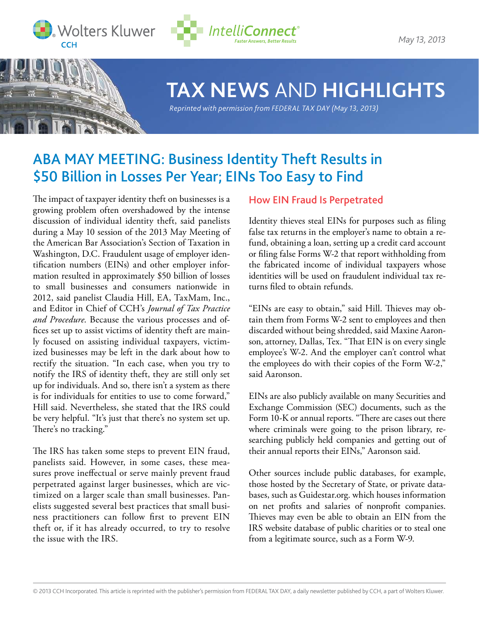



*May 13, 2013*



# **TAX NEWS** AND **HIGHLIGHTS**

*Reprinted with permission from FEDERAL TAX DAY (May 13, 2013)*

# ABA MAY MEETING: Business Identity Theft Results in \$50 Billion in Losses Per Year; EINs Too Easy to Find

The impact of taxpayer identity theft on businesses is a growing problem often overshadowed by the intense discussion of individual identity theft, said panelists during a May 10 session of the 2013 May Meeting of the American Bar Association's Section of Taxation in Washington, D.C. Fraudulent usage of employer identification numbers (EINs) and other employer information resulted in approximately \$50 billion of losses to small businesses and consumers nationwide in 2012, said panelist Claudia Hill, EA, TaxMam, Inc., and Editor in Chief of CCH's *Journal of Tax Practice and Procedure*. Because the various processes and offices set up to assist victims of identity theft are mainly focused on assisting individual taxpayers, victimized businesses may be left in the dark about how to rectify the situation. "In each case, when you try to notify the IRS of identity theft, they are still only set up for individuals. And so, there isn't a system as there is for individuals for entities to use to come forward," Hill said. Nevertheless, she stated that the IRS could be very helpful. "It's just that there's no system set up. There's no tracking."

The IRS has taken some steps to prevent EIN fraud, panelists said. However, in some cases, these measures prove ineffectual or serve mainly prevent fraud perpetrated against larger businesses, which are victimized on a larger scale than small businesses. Panelists suggested several best practices that small business practitioners can follow first to prevent EIN theft or, if it has already occurred, to try to resolve the issue with the IRS.

## How EIN Fraud Is Perpetrated

Identity thieves steal EINs for purposes such as filing false tax returns in the employer's name to obtain a refund, obtaining a loan, setting up a credit card account or filing false Forms W-2 that report withholding from the fabricated income of individual taxpayers whose identities will be used on fraudulent individual tax returns filed to obtain refunds.

"EINs are easy to obtain," said Hill. Thieves may obtain them from Forms W-2 sent to employees and then discarded without being shredded, said Maxine Aaronson, attorney, Dallas, Tex. "That EIN is on every single employee's W-2. And the employer can't control what the employees do with their copies of the Form W-2," said Aaronson.

EINs are also publicly available on many Securities and Exchange Commission (SEC) documents, such as the Form 10-K or annual reports. "There are cases out there where criminals were going to the prison library, researching publicly held companies and getting out of their annual reports their EINs," Aaronson said.

Other sources include public databases, for example, those hosted by the Secretary of State, or private databases, such as Guidestar.org. which houses information on net profits and salaries of nonprofit companies. Thieves may even be able to obtain an EIN from the IRS website database of public charities or to steal one from a legitimate source, such as a Form W-9.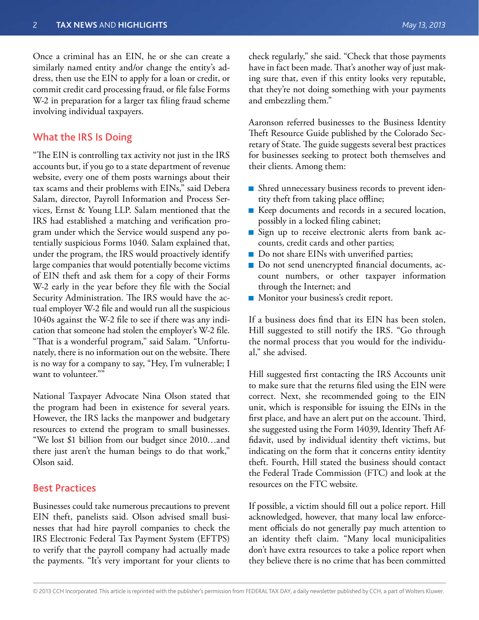Once a criminal has an EIN, he or she can create a similarly named entity and/or change the entity's address, then use the EIN to apply for a loan or credit, or commit credit card processing fraud, or file false Forms W-2 in preparation for a larger tax filing fraud scheme involving individual taxpayers.

### What the IRS Is Doing

"The EIN is controlling tax activity not just in the IRS accounts but, if you go to a state department of revenue website, every one of them posts warnings about their tax scams and their problems with EINs," said Debera Salam, director, Payroll Information and Process Services, Ernst & Young LLP. Salam mentioned that the IRS had established a matching and verification program under which the Service would suspend any potentially suspicious Forms 1040. Salam explained that, under the program, the IRS would proactively identify large companies that would potentially become victims of EIN theft and ask them for a copy of their Forms W-2 early in the year before they file with the Social Security Administration. The IRS would have the actual employer W-2 file and would run all the suspicious 1040s against the W-2 file to see if there was any indication that someone had stolen the employer's W-2 file. "That is a wonderful program," said Salam. "Unfortunately, there is no information out on the website. There is no way for a company to say, "Hey, I'm vulnerable; I want to volunteer.""

National Taxpayer Advocate Nina Olson stated that the program had been in existence for several years. However, the IRS lacks the manpower and budgetary resources to extend the program to small businesses. "We lost \$1 billion from our budget since 2010…and there just aren't the human beings to do that work," Olson said.

#### Best Practices

Businesses could take numerous precautions to prevent EIN theft, panelists said. Olson advised small businesses that had hire payroll companies to check the IRS Electronic Federal Tax Payment System (EFTPS) to verify that the payroll company had actually made the payments. "It's very important for your clients to

check regularly," she said. "Check that those payments have in fact been made. That's another way of just making sure that, even if this entity looks very reputable, that they're not doing something with your payments and embezzling them."

Aaronson referred businesses to the Business Identity Theft Resource Guide published by the Colorado Secretary of State. The guide suggests several best practices for businesses seeking to protect both themselves and their clients. Among them:

- Shred unnecessary business records to prevent identity theft from taking place offline;
- Keep documents and records in a secured location, possibly in a locked filing cabinet;
- Sign up to receive electronic alerts from bank accounts, credit cards and other parties;
- Do not share EINs with unverified parties;
- Do not send unencrypted financial documents, account numbers, or other taxpayer information through the Internet; and
- **Monitor your business's credit report.**

If a business does find that its EIN has been stolen, Hill suggested to still notify the IRS. "Go through the normal process that you would for the individual," she advised.

Hill suggested first contacting the IRS Accounts unit to make sure that the returns filed using the EIN were correct. Next, she recommended going to the EIN unit, which is responsible for issuing the EINs in the first place, and have an alert put on the account. Third, she suggested using the Form 14039, Identity Theft Affidavit, used by individual identity theft victims, but indicating on the form that it concerns entity identity theft. Fourth, Hill stated the business should contact the Federal Trade Commission (FTC) and look at the resources on the FTC website.

If possible, a victim should fill out a police report. Hill acknowledged, however, that many local law enforcement officials do not generally pay much attention to an identity theft claim. "Many local municipalities don't have extra resources to take a police report when they believe there is no crime that has been committed

<sup>© 2013</sup> CCH Incorporated. This article is reprinted with the publisher's permission from FEDERAL TAX DAY, a daily newsletter published by CCH, a part of Wolters Kluwer.